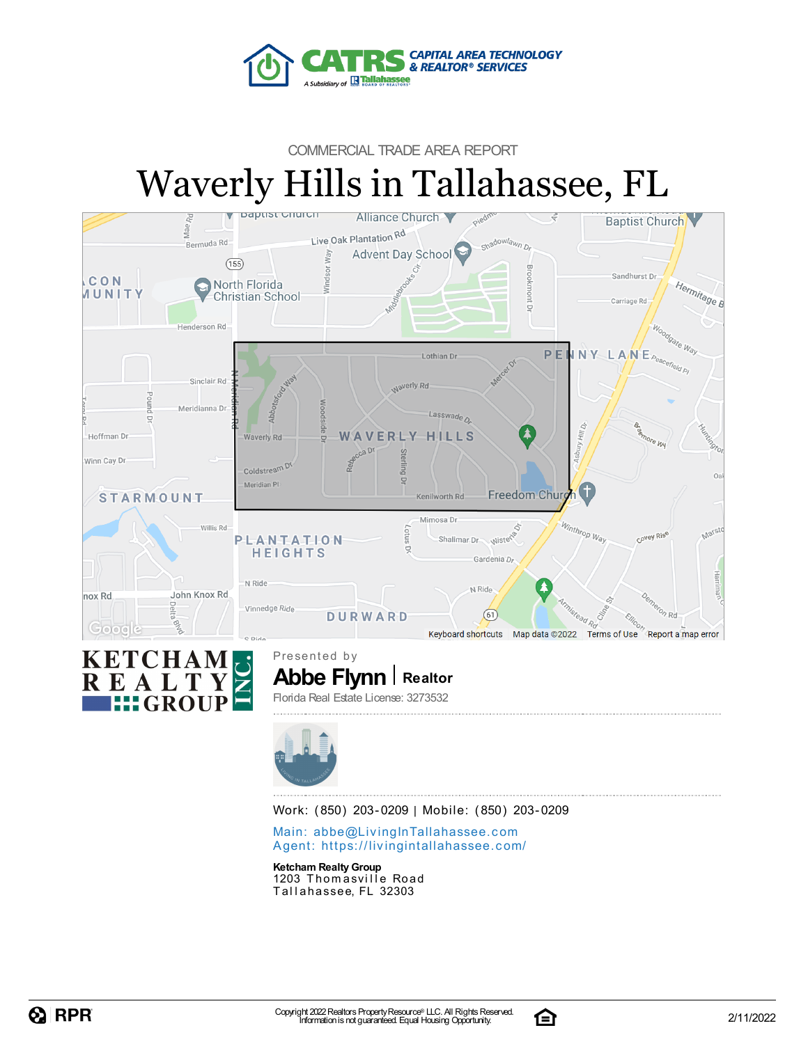

#### COMMERCIAL TRADE AREA REPORT

# Waverly Hills in Tallahassee, FL





**Abbe Flynn** | Realtor Presented by Florida Real Estate License: 3273532



Work: (850) 203-0209 | Mobile: (850) 203-0209

Main: abbe@LivingInTallaha[sse](mailto:abbe@LivingInTallahassee.com)e.com Agent: https://livingintallaha[sse](https://livingintallahassee.com/)e.com/

**Ketcham Realty Group** 1203 Thomasville Road Tallahassee, FL 32303



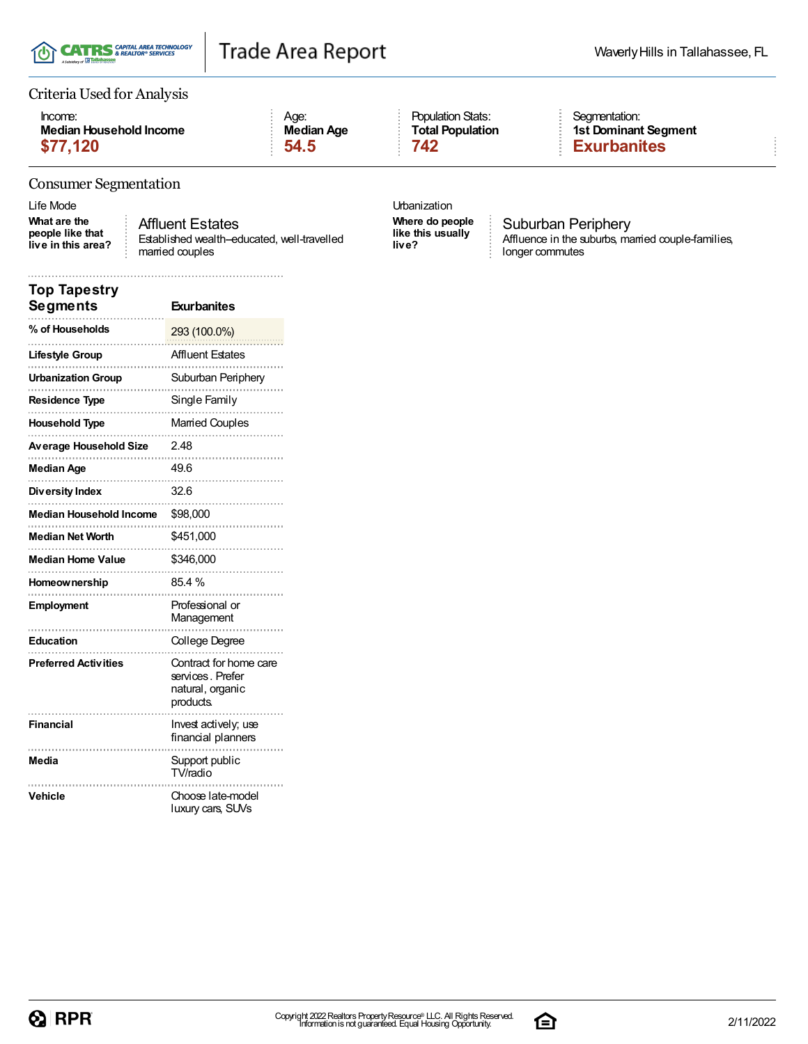

#### Criteria Used for Analysis

| Income:                 | Aae:              |
|-------------------------|-------------------|
| Median Household Income | <b>Median Age</b> |
| \$77,120                | 54.5              |

### Population Stats: **Total Population**

#### Segmentation: **1st Dominant Segment \$77,120 54.5 742 Exurbanites**

#### Consumer Segmentation

Life Mode Urbanization

**What are the people like that live in this area?**

Affluent Estates Established wealth-educated, well-travelled married couples

**Where do people like this usually live?**

Suburban Periphery Affluence in the suburbs, married couple-families, longer commutes

| <b>Top Tapestry</b><br>Segments | <b>Exurbanites</b>                                                         |
|---------------------------------|----------------------------------------------------------------------------|
| % of Households                 | 293 (100.0%)                                                               |
| Lifestyle Group                 | <b>Affluent Estates</b>                                                    |
| <b>Urbanization Group</b>       | Suburban Periphery                                                         |
| <b>Residence Type</b>           | Single Family                                                              |
| <b>Household Type</b>           | Married Couples                                                            |
| Average Household Size          | 2.48                                                                       |
| Median Age                      | 49.6<br>.                                                                  |
| Diversity Index                 | 32.6                                                                       |
| <b>Median Household Income</b>  | \$98,000                                                                   |
| <b>Median Net Worth</b>         | \$451,000                                                                  |
| <b>Median Home Value</b>        | \$346,000                                                                  |
| Homeownership                   | 85.4 %                                                                     |
| Employment                      | Professional or<br>Management                                              |
| Education                       | College Degree                                                             |
| <b>Preferred Activities</b>     | Contract for home care<br>services, Prefer<br>natural, organic<br>products |
| <b>Financial</b>                | Invest actively; use<br>financial planners                                 |
| Media                           | Support public<br>TV/radio                                                 |
| Vehicle                         | Choose late-model<br>luxury cars, SUVs                                     |

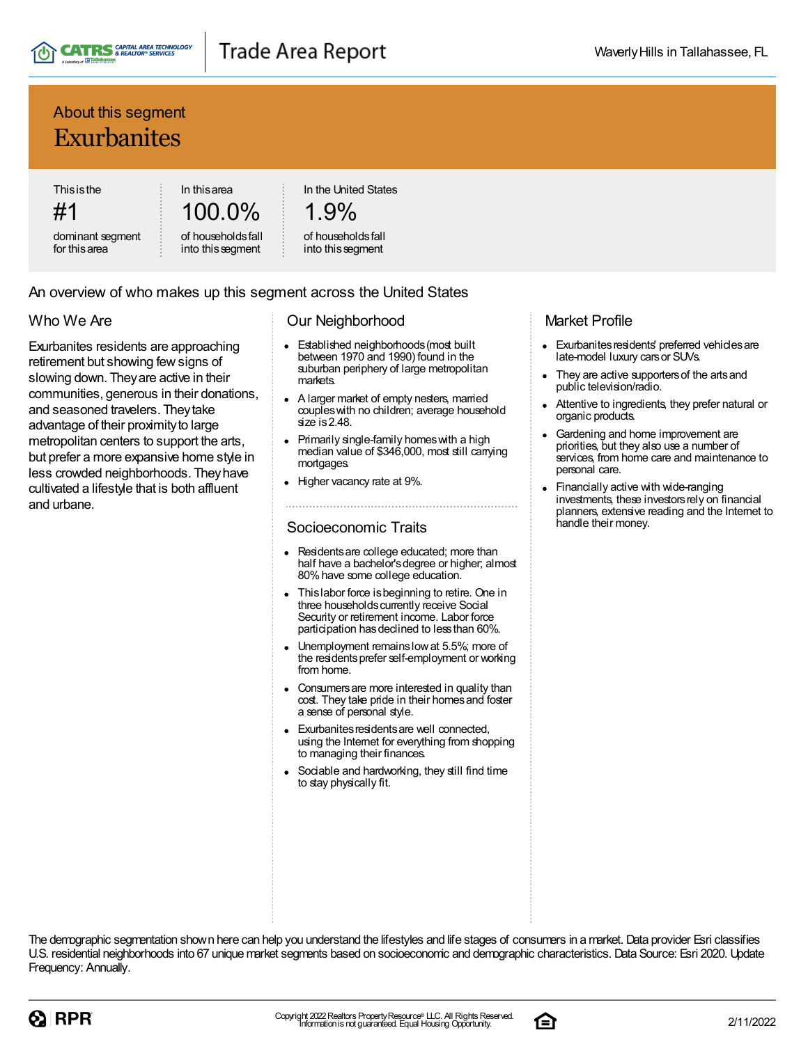

## Trade Area Report

## About this segment Exurbanites

**Thisisthe** 

#1 dominant segment for thisarea

100.0% of householdsfall

into thissegment

In thisarea

In the United States

## 1.9%

#### of householdsfall into thissegment

#### An overview of who makes up this segment across the United States

#### Who We Are

Exurbanites residents are approaching retirement but showing fewsigns of slowing down. Theyare active in their communities, generous in their donations, and seasoned travelers. Theytake advantage of their proximity to large metropolitan centers to support the arts, but prefer a more expansive home style in less crowded neighborhoods. Theyhave cultivated a lifestyle that is both affluent and urbane.

#### Our Neighborhood

- Established neighborhoods(most built between 1970 and 1990) found in the suburban periphery of large metropolitan markets.
- A larger market of empty nesters, married coupleswith no children; average household size is 2.48.
- Primarily single-family homeswith a high median value of \$346,000, most still carrying mortgages.
- Higher vacancy rate at 9%.

#### Socioeconomic Traits

- Residentsare college educated; more than half have a bachelor's degree or higher; almost 80%have some college education.
- Thislabor force isbeginning to retire. One in three households currently receive Social Security or retirement income. Labor force participation has declined to less than 60%.
- Unemployment remainslowat 5.5%; more of the residentsprefer self-employment or working from home.
- Consumersare more interested in quality than cost. They take pride in their homes and foster a sense of personal style.
- Exurbanites residents are well connected, using the Internet for everything from shopping to managing their finances.
- Sociable and hardworking, they still find time to stay physically fit.

#### Market Profile

- Exurbanites residents' preferred vehicles are late-model luxury carsor SUVs.
- They are active supporters of the arts and public television/radio.
- Attentive to ingredients, they prefer natural or organic products.
- Gardening and home improvement are priorities, but they also use a number of services, from home care and maintenance to personal care.
- Financially active with wide-ranging investments, these investors rely on financial planners, extensive reading and the Internet to handle their money.

The demographic segmentation shown here can help you understand the lifestyles and life stages of consumers in a market. Data provider Esri classifies U.S. residential neighborhoods into 67 unique market segments based on socioeconomic and demographic characteristics. Data Source: Esri 2020. Update Frequency: Annually.



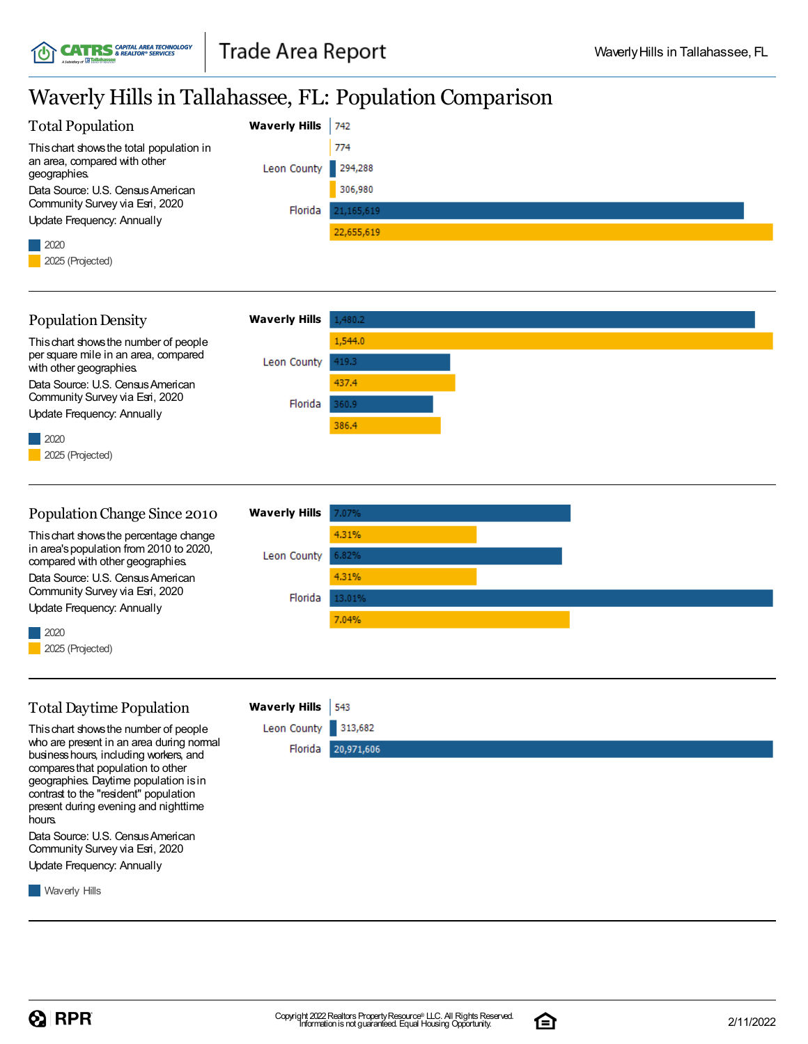**CATRS** & REALTOR<sup>®</sup> SERVICES

íC

## Waverly Hills in Tallahassee, FL: Population Comparison

|                                                                                   |                      | $m$ , $m$ , $m$ , $m$ , $m$ , $m$ , $m$ , $m$ , $m$ , $m$ , $m$ , $m$ , $m$ , $m$ , $m$ , $m$ , $m$ , $m$ , $m$ , $m$ , $m$ , $m$ , $m$ , $m$ , $m$ , $m$ , $m$ , $m$ , $m$ , $m$ , $m$ , $m$ , $m$ , $m$ , $m$ , $m$ , $m$ , |
|-----------------------------------------------------------------------------------|----------------------|-------------------------------------------------------------------------------------------------------------------------------------------------------------------------------------------------------------------------------|
| <b>Total Population</b>                                                           | <b>Waverly Hills</b> | 742                                                                                                                                                                                                                           |
| This chart shows the total population in                                          |                      | 774                                                                                                                                                                                                                           |
| an area, compared with other<br>geographies.                                      | Leon County          | 294,288                                                                                                                                                                                                                       |
| Data Source: U.S. Census American                                                 |                      | 306,980                                                                                                                                                                                                                       |
| Community Survey via Esri, 2020<br>Update Frequency: Annually                     | Florida              | 21,165,619                                                                                                                                                                                                                    |
|                                                                                   |                      | 22,655,619                                                                                                                                                                                                                    |
| 2020<br>2025 (Projected)                                                          |                      |                                                                                                                                                                                                                               |
|                                                                                   |                      |                                                                                                                                                                                                                               |
| <b>Population Density</b>                                                         | <b>Waverly Hills</b> | 1,480.2                                                                                                                                                                                                                       |
| This chart shows the number of people                                             |                      | 1,544.0                                                                                                                                                                                                                       |
| per square mile in an area, compared<br>with other geographies.                   | Leon County          | 419.3                                                                                                                                                                                                                         |
| Data Source: U.S. Census American                                                 |                      | 437.4                                                                                                                                                                                                                         |
| Community Survey via Esri, 2020<br><b>Update Frequency: Annually</b>              | Florida              | 360.9                                                                                                                                                                                                                         |
| 2020                                                                              |                      | 386.4                                                                                                                                                                                                                         |
| 2025 (Projected)                                                                  |                      |                                                                                                                                                                                                                               |
|                                                                                   |                      |                                                                                                                                                                                                                               |
|                                                                                   |                      |                                                                                                                                                                                                                               |
| Population Change Since 2010                                                      | <b>Waverly Hills</b> | 7.07%                                                                                                                                                                                                                         |
| This chart shows the percentage change<br>in area's population from 2010 to 2020, |                      | 4.31%                                                                                                                                                                                                                         |
| compared with other geographies.                                                  | Leon County          | 6.82%                                                                                                                                                                                                                         |
| Data Source: U.S. Census American<br>Community Survey via Esri, 2020              |                      | 4.31%                                                                                                                                                                                                                         |
| Update Frequency: Annually                                                        | Florida              | 13.01%                                                                                                                                                                                                                        |
| 2020                                                                              |                      | 7.04%                                                                                                                                                                                                                         |
| 2025 (Projected)                                                                  |                      |                                                                                                                                                                                                                               |
|                                                                                   |                      |                                                                                                                                                                                                                               |
| <b>Total Daytime Population</b>                                                   | <b>Waverly Hills</b> | 543                                                                                                                                                                                                                           |
| This chart shows the number of people                                             | Leon County          | 313,682                                                                                                                                                                                                                       |
| who are present in an area during normal                                          | Florida              | 20,971,606                                                                                                                                                                                                                    |
| business hours, including workers, and<br>compares that population to other       |                      |                                                                                                                                                                                                                               |
| geographies. Daytime population is in<br>contrast to the "resident" population    |                      |                                                                                                                                                                                                                               |
| present during evening and nighttime<br>hours.                                    |                      |                                                                                                                                                                                                                               |
| Data Source: U.S. Census American                                                 |                      |                                                                                                                                                                                                                               |
| Community Survey via Esri, 2020                                                   |                      |                                                                                                                                                                                                                               |
| Update Frequency: Annually                                                        |                      |                                                                                                                                                                                                                               |
| <b>Waverly Hills</b>                                                              |                      |                                                                                                                                                                                                                               |
|                                                                                   |                      |                                                                                                                                                                                                                               |

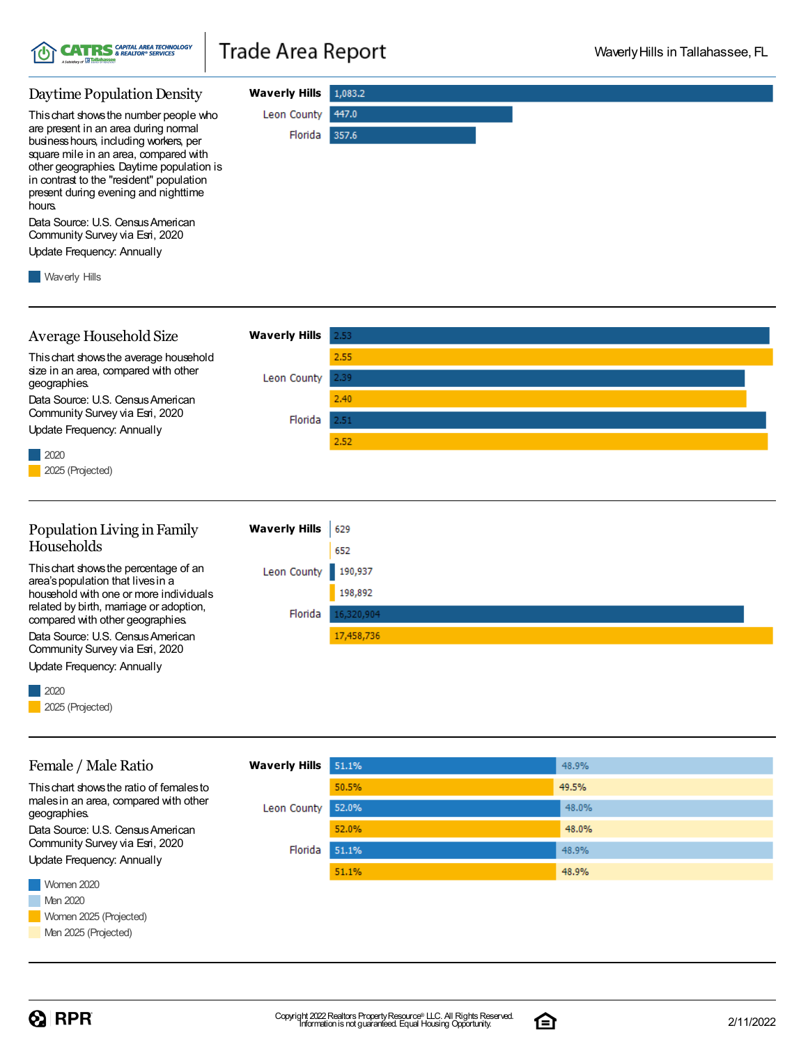

#### **Waverly Hills** 1,083.2 Daytime Population Density Leon County 447.0 Thischart showsthe number people who are present in an area during normal Florida 357.6 businesshours, including workers, per square mile in an area, compared with other geographies. Daytime population is in contrast to the "resident" population present during evening and nighttime hours. Data Source: U.S. Census American Community Survey via Esri, 2020 Update Frequency: Annually **Waverly Hills**

Average Household Size **Waverly Hills** 2.53 2.55 Thischart showsthe average household size in an area, compared with other Leon County 2.39 geographies.  $2.40$ Data Source: U.S. Census American Community Survey via Esri, 2020 Florida  $2.51$ Update Frequency: Annually 2.52 2020 2025 (Projected)

#### Population Living in Family **Waverly Hills** 629 Households 652 Thischart showsthe percentage of an Leon County 190,937 area'spopulation that livesin a 198,892 household with one or more individuals related by birth, marriage or adoption, Florida 16.320.904 compared with other geographies. Data Source: U.S. Census American 17,458,736 Community Survey via Esri, 2020

2020

Update Frequency: Annually

Female / Male Ratio

Thischart showsthe ratio of femalesto malesin an area, compared with other

Data Source: U.S. Census American Community Survey via Esri, 2020

2025 (Projected)

geographies.

| <b>Waverly Hills</b> | 51.1% | 48.9% |
|----------------------|-------|-------|
|                      | 50.5% | 49.5% |
| Leon County          | 52.0% | 48.0% |
|                      | 52.0% | 48.0% |
| Florida              | 51.1% | 48.9% |
|                      | 51.1% | 48.9% |



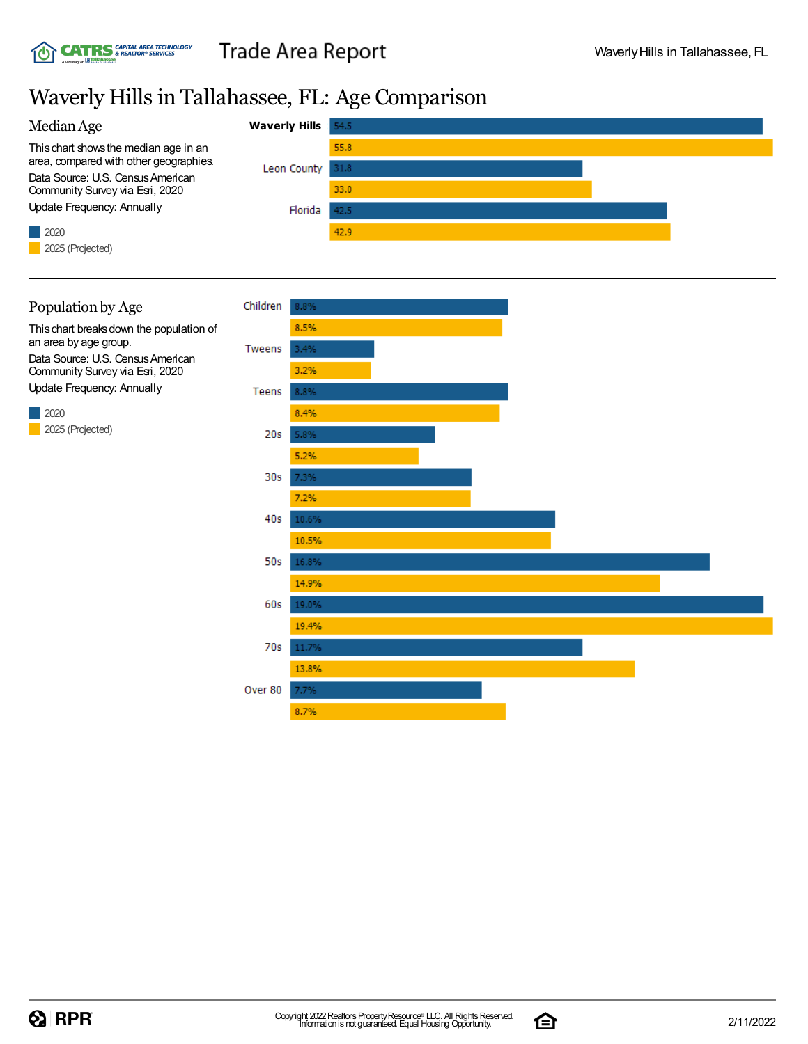## Waverly Hillsin Tallahassee, FL: Age Comparison





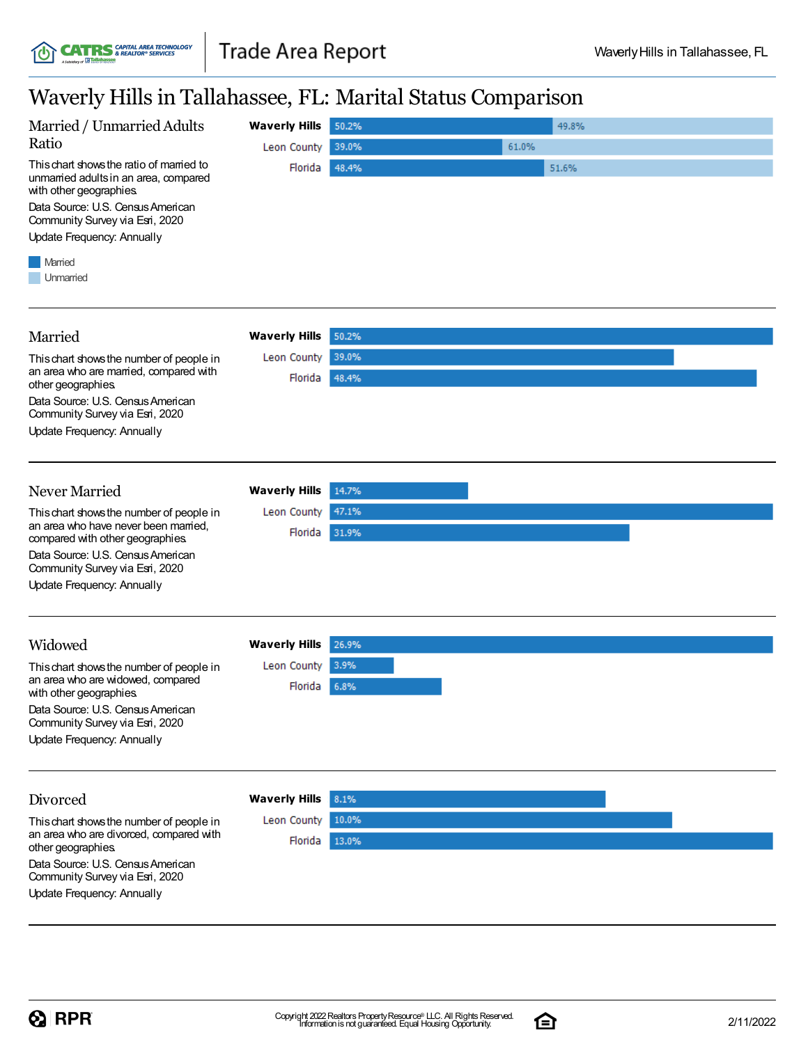## Waverly Hillsin Tallahassee, FL: Marital Status Comparison

| Waverly Hills in Tallahassee, FL: Marital Status Comparison                                                                                                                                                                                                      |                                                |                         |       |                |  |
|------------------------------------------------------------------------------------------------------------------------------------------------------------------------------------------------------------------------------------------------------------------|------------------------------------------------|-------------------------|-------|----------------|--|
| Married / Unmarried Adults<br>Ratio<br>This chart shows the ratio of married to<br>unmarried adults in an area, compared<br>with other geographies.<br>Data Source: U.S. Census American<br>Community Survey via Esri, 2020<br><b>Update Frequency: Annually</b> | <b>Waverly Hills</b><br>Leon County<br>Florida | 50.2%<br>39.0%<br>48.4% | 61.0% | 49.8%<br>51.6% |  |
| Married<br>Unmarried                                                                                                                                                                                                                                             |                                                |                         |       |                |  |
| Married                                                                                                                                                                                                                                                          | <b>Waverly Hills</b>                           | 50.2%                   |       |                |  |
| This chart shows the number of people in<br>an area who are married, compared with<br>other geographies.<br>Data Source: U.S. Census American<br>Community Survey via Esri, 2020<br>Update Frequency: Annually                                                   | Leon County<br>Florida                         | 39.0%<br>48.4%          |       |                |  |
| Never Married                                                                                                                                                                                                                                                    | <b>Waverly Hills</b>                           | 14.7%                   |       |                |  |
| This chart shows the number of people in<br>an area who have never been married,<br>compared with other geographies.<br>Data Source: U.S. Census American<br>Community Survey via Esri, 2020<br><b>Update Frequency: Annually</b>                                | Leon County<br>Florida                         | 47.1%<br>31.9%          |       |                |  |
| Widowed                                                                                                                                                                                                                                                          | <b>Waverly Hills</b>                           | 26.9%                   |       |                |  |
| This chart shows the number of people in<br>an area who are widowed, compared<br>with other geographies.<br>Data Source: U.S. Census American<br>Community Survey via Esri, 2020<br><b>Update Frequency: Annually</b>                                            | Leon County<br>Florida 6.8%                    | 3.9%                    |       |                |  |
| Divorced                                                                                                                                                                                                                                                         | <b>Waverly Hills</b>                           | 8.1%                    |       |                |  |
| This chart shows the number of people in<br>an area who are divorced, compared with<br>other geographies.                                                                                                                                                        | Leon County<br>Florida                         | 10.0%<br>13.0%          |       |                |  |
| Data Source: U.S. Census American<br>Community Survey via Esri, 2020<br>Update Frequency: Annually                                                                                                                                                               |                                                |                         |       |                |  |

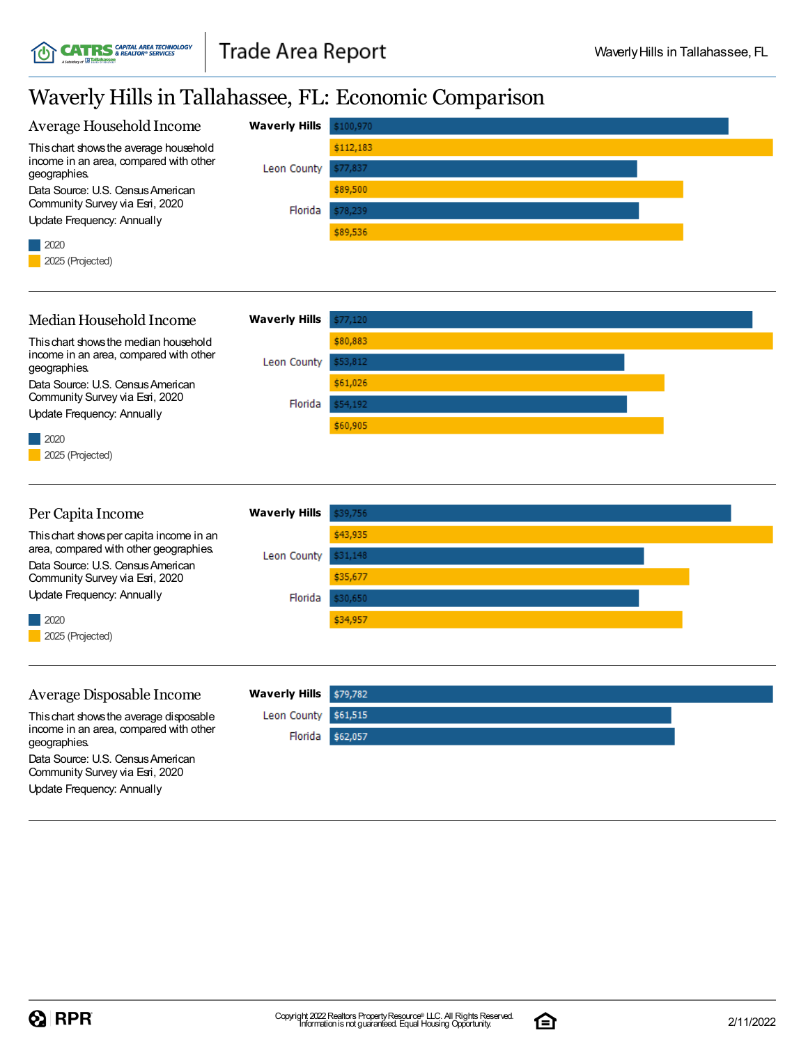## Waverly Hillsin Tallahassee, FL: Economic Comparison

**CATRS** *CAPITAL AREA TECHNOLOGY* 



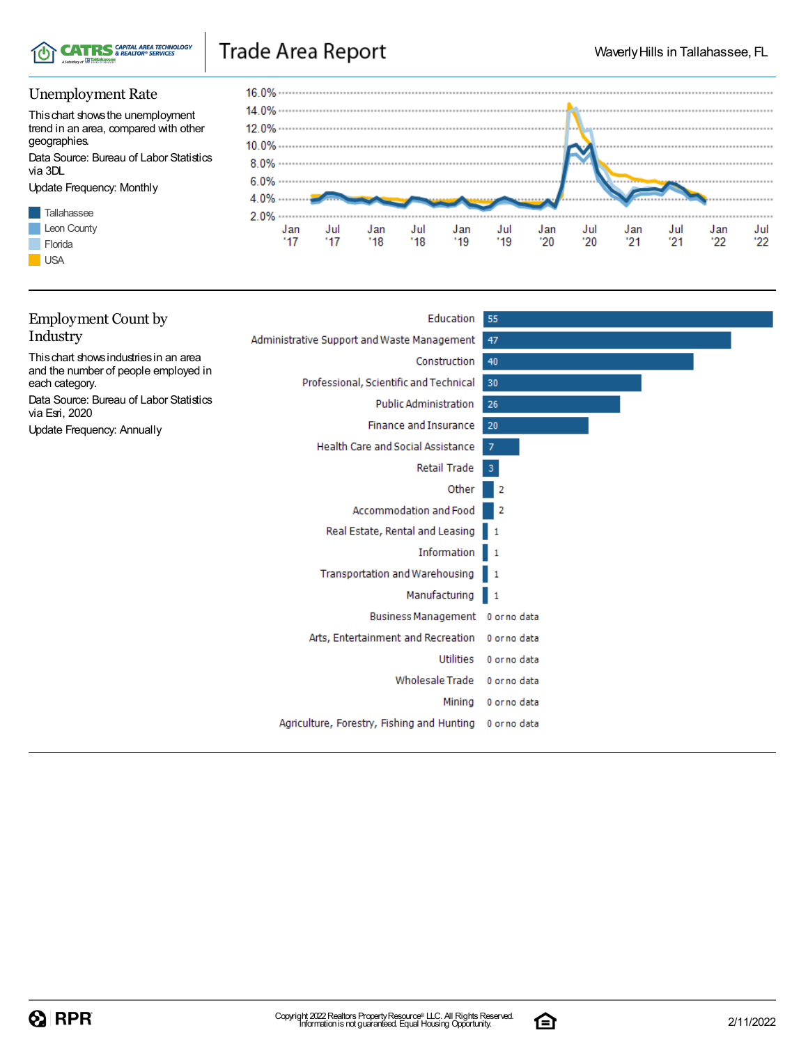

## Trade Area Report

### Unemployment Rate

Thischart showsthe unemployment trend in an area, compared with other geographies.

Data Source: Bureau of Labor Statistics via 3DL

Update Frequency: Monthly





| <b>Employment Count by</b>                                                     | Education 55                                    |              |
|--------------------------------------------------------------------------------|-------------------------------------------------|--------------|
| Industry                                                                       | Administrative Support and Waste Management     | 47           |
| This chart shows industries in an area<br>and the number of people employed in | Construction                                    | 40           |
| each category.                                                                 | Professional, Scientific and Technical          | 30           |
| Data Source: Bureau of Labor Statistics<br>via Esri, 2020                      | <b>Public Administration</b>                    | 26           |
| Update Frequency: Annually                                                     | <b>Finance and Insurance</b>                    | 20           |
|                                                                                | <b>Health Care and Social Assistance</b>        | 7            |
|                                                                                | Retail Trade                                    | -3           |
|                                                                                | Other                                           | 2            |
|                                                                                | Accommodation and Food                          | -2           |
|                                                                                | Real Estate, Rental and Leasing 1               |              |
|                                                                                | Information 1                                   |              |
|                                                                                | Transportation and Warehousing 1                |              |
|                                                                                | Manufacturing 1                                 |              |
|                                                                                | Business Management 0 or no data                |              |
|                                                                                | Arts, Entertainment and Recreation 0 or no data |              |
|                                                                                | Utilities                                       | 0 or no data |
|                                                                                | <b>Wholesale Trade</b>                          | 0 or no data |
|                                                                                | Mining                                          | 0 or no data |
|                                                                                | Agriculture, Forestry, Fishing and Hunting      | 0 orno data  |
|                                                                                |                                                 |              |

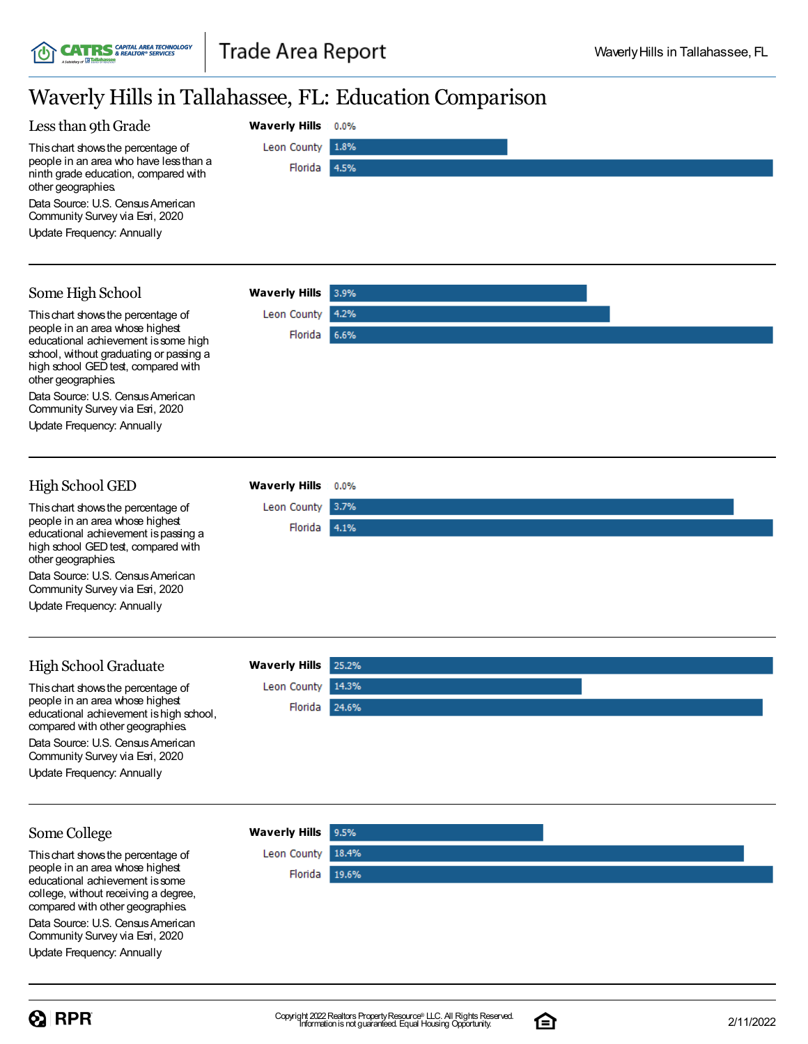## Waverly Hillsin Tallahassee, FL: Education Comparison

**Waverly Hills**

Leon County

Florida

 $0.0%$ 

1.8%

4.5%

3.9% 4.2%

 $0.0%$ 3.7%

Florida 4.1%

Florida 6.6%

**Waverly Hills**

Leon County

**Waverly Hills**

Leon County

### Less than 9th Grade

Thischart showsthe percentage of people in an area who have lessthan a ninth grade education, compared with other geographies.

**CATRS** GAPITAL AREA TECHNOLOGY

Data Source: U.S. Census American Community Survey via Esri, 2020

Update Frequency: Annually

## Some High School

Thischart showsthe percentage of people in an area whose highest educational achievement is some high school, without graduating or passing a high school GED test, compared with other geographies.

Data Source: U.S. Census American Community Survey via Esri, 2020

Update Frequency: Annually

## High School GED

Thischart showsthe percentage of people in an area whose highest educational achievement ispassing a high school GED test, compared with other geographies.

Data Source: U.S. Census American Community Survey via Esri, 2020

Update Frequency: Annually

## High School Graduate

Thischart showsthe percentage of people in an area whose highest educational achievement is high school. compared with other geographies. Data Source: U.S. Census American

Community Survey via Esri, 2020 Update Frequency: Annually

**Waverly Hills**

Leon County

| Waverly Hills 25.2% |  |
|---------------------|--|
| Leon County 14.3%   |  |
| Florida 24.6%       |  |
|                     |  |
|                     |  |

#### Some College

Thischart showsthe percentage of people in an area whose highest educational achievement issome college, without receiving a degree, compared with other geographies.

Data Source: U.S. Census American Community Survey via Esri, 2020

Update Frequency: Annually



9.5%

18.4%

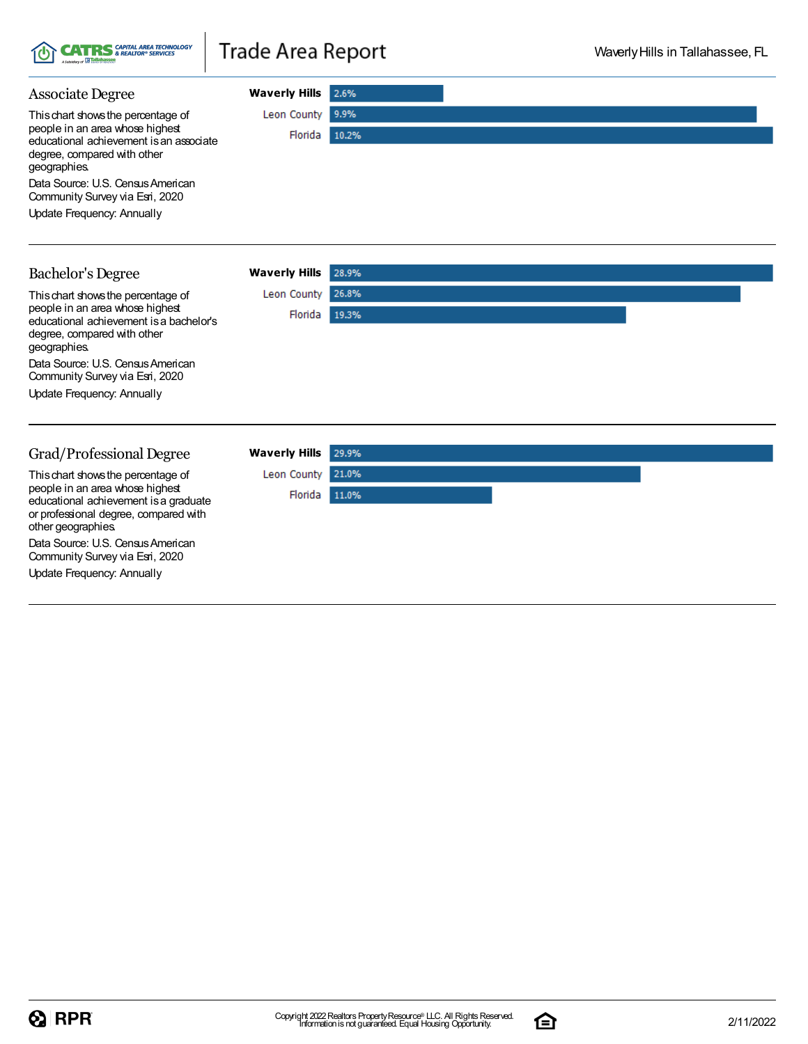

## Trade Area Report

Leon County 26.8% Florida 19.3%

| <b>Associate Degree</b>                                                    | <b>Waverly Hills</b>       | 2.6%  |
|----------------------------------------------------------------------------|----------------------------|-------|
| This chart shows the percentage of                                         | Leon County                | 9.9%  |
| people in an area whose highest<br>educational achievement is an associate | Florida                    | 10.2% |
| degree, compared with other<br>geographies.                                |                            |       |
| Data Source: U.S. Census American<br>Community Survey via Esri, 2020       |                            |       |
| Update Frequency: Annually                                                 |                            |       |
|                                                                            |                            |       |
| Bachelor's Degree                                                          | <b>Waverly Hills</b> 28.9% |       |

| <b>Bachelor's Degree</b> |  |
|--------------------------|--|
|--------------------------|--|

Thischart showsthe percentage of people in an area whose highest educational achievement isa bachelor's degree, compared with other geographies. Data Source: U.S. Census American Community Survey via Esri, 2020

Update Frequency: Annually

#### Grad/Professional Degree

Thischart showsthe percentage of people in an area whose highest educational achievement isa graduate or professional degree, compared with other geographies.

Data Source: U.S. Census American Community Survey via Esri, 2020

Update Frequency: Annually

| Waverly Hills 29.9% |       |  |  |
|---------------------|-------|--|--|
| Leon County 21.0%   |       |  |  |
| Florida             | 11.0% |  |  |
|                     |       |  |  |
|                     |       |  |  |
|                     |       |  |  |
|                     |       |  |  |

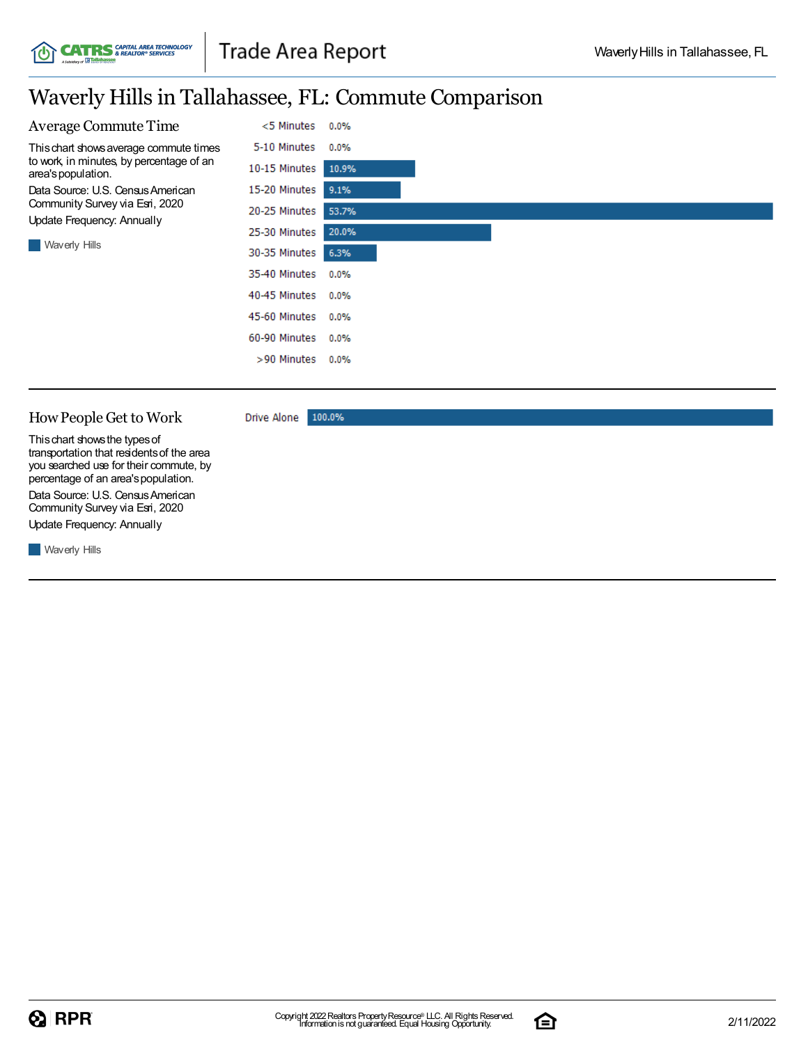

## Waverly Hillsin Tallahassee, FL: Commute Comparison



#### HowPeople Get to Work

100.0% Drive Alone

Thischart showsthe typesof transportation that residentsof the area you searched use for their commute, by percentage of an area's population. Data Source: U.S. Census American Community Survey via Esri, 2020

Update Frequency: Annually

**Waverly Hills** 

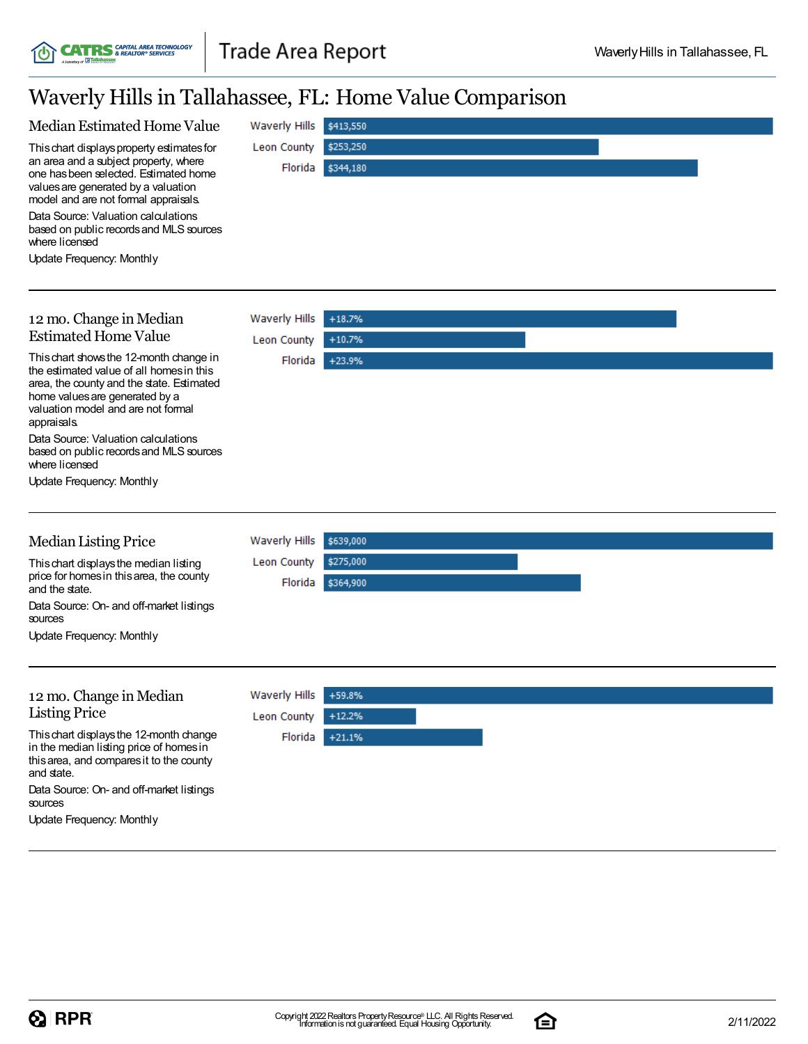**CATRS** *CAPITAL AREA TECHNOLOGY* 

U

## Waverly Hillsin Tallahassee, FL: Home Value Comparison

| Median Estimated Home Value                                                                                                                                                                                             | <b>Waverly Hills</b> | \$413,550 |
|-------------------------------------------------------------------------------------------------------------------------------------------------------------------------------------------------------------------------|----------------------|-----------|
| This chart displays property estimates for                                                                                                                                                                              | Leon County          | \$253,250 |
| an area and a subject property, where<br>one has been selected. Estimated home<br>values are generated by a valuation<br>model and are not formal appraisals.                                                           | Florida              | \$344,180 |
| Data Source: Valuation calculations<br>based on public records and MLS sources<br>where licensed                                                                                                                        |                      |           |
| Update Frequency: Monthly                                                                                                                                                                                               |                      |           |
|                                                                                                                                                                                                                         |                      |           |
|                                                                                                                                                                                                                         |                      |           |
| 12 mo. Change in Median<br><b>Estimated Home Value</b>                                                                                                                                                                  | <b>Waverly Hills</b> | $+18.7%$  |
|                                                                                                                                                                                                                         | Leon County          | $+10.7%$  |
| This chart shows the 12-month change in<br>the estimated value of all homes in this<br>area, the county and the state. Estimated<br>home values are generated by a<br>valuation model and are not formal<br>appraisals. | Florida              | $+23.9%$  |
| Data Source: Valuation calculations<br>based on public records and MLS sources<br>where licensed                                                                                                                        |                      |           |
| Update Frequency: Monthly                                                                                                                                                                                               |                      |           |
|                                                                                                                                                                                                                         |                      |           |
| <b>Median Listing Price</b>                                                                                                                                                                                             | <b>Waverly Hills</b> | \$639,000 |
| This chart displays the median listing                                                                                                                                                                                  | Leon County          | \$275,000 |
| price for homes in this area, the county<br>and the state.                                                                                                                                                              | Florida              | \$364,900 |
| Data Source: On- and off-market listings<br>sources                                                                                                                                                                     |                      |           |
| <b>Update Frequency: Monthly</b>                                                                                                                                                                                        |                      |           |
|                                                                                                                                                                                                                         |                      |           |
| 12 mo. Change in Median                                                                                                                                                                                                 | <b>Waverly Hills</b> | +59.8%    |
| <b>Listing Price</b>                                                                                                                                                                                                    | Leon County          | $+12.2%$  |
| This chart displays the 12-month change<br>in the median listing price of homes in<br>this area, and compares it to the county<br>and state.                                                                            | Florida              | $+21.1%$  |
| Data Source: On- and off-market listings<br>sources                                                                                                                                                                     |                      |           |
| <b>Update Frequency: Monthly</b>                                                                                                                                                                                        |                      |           |

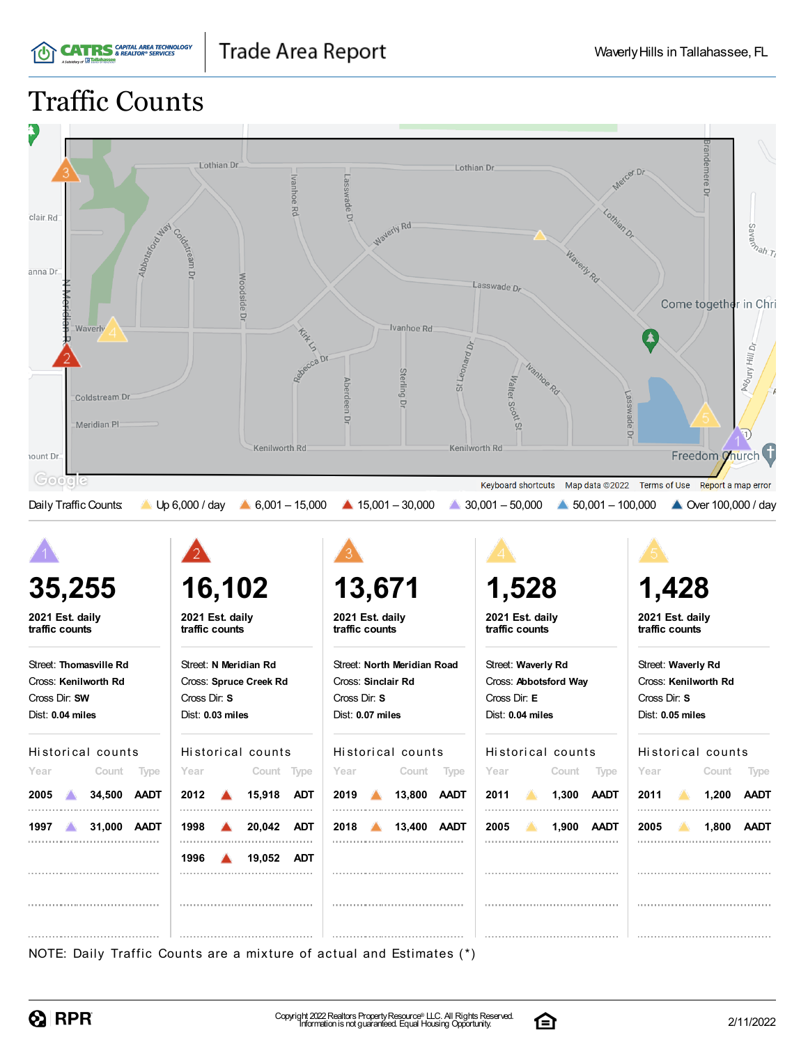Traffic Counts

**CATRS** GAPITAL AREA TECHNOLOGY